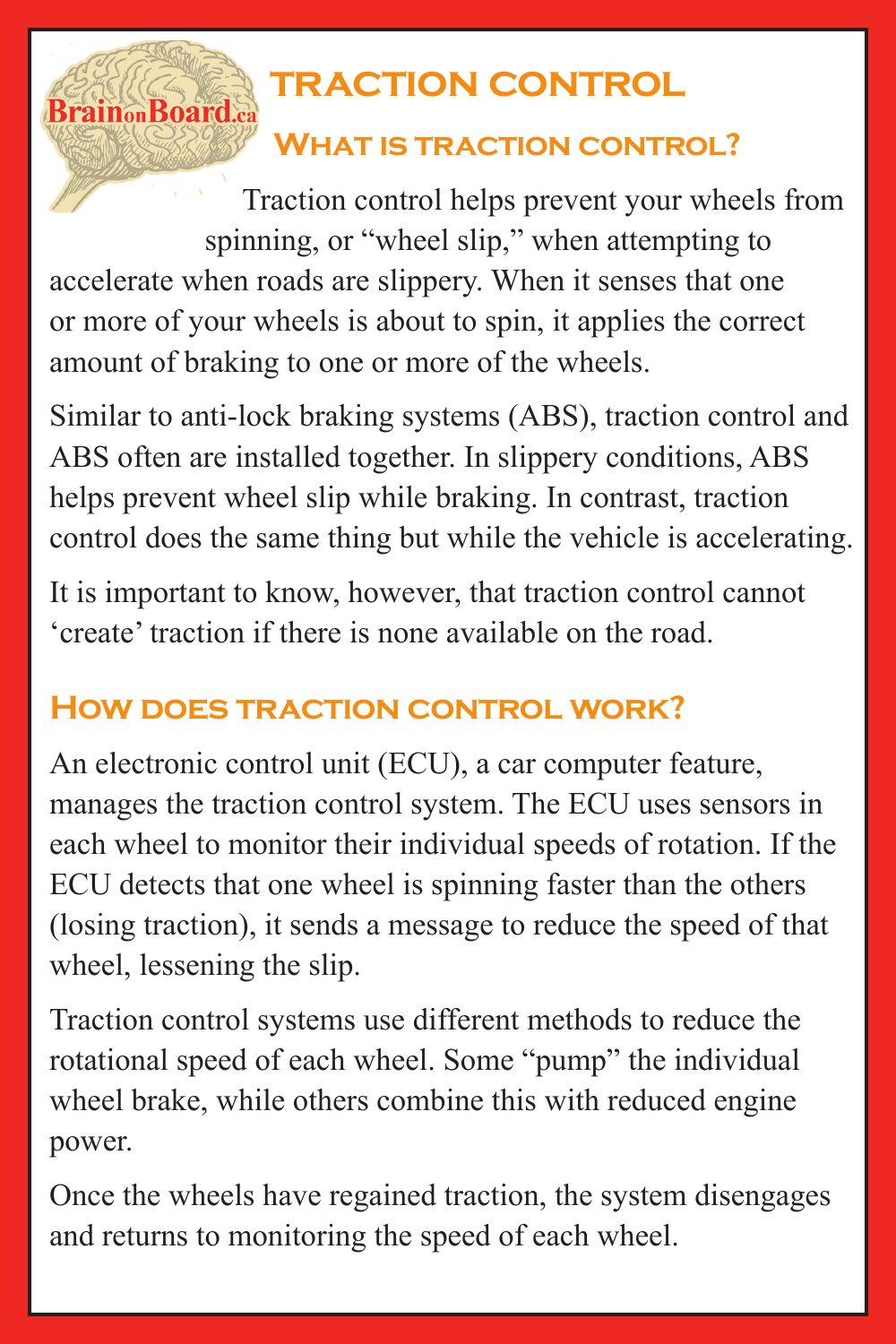## **traction control**

## **What is traction control?**

Traction control helps prevent your wheels from spinning, or "wheel slip," when attempting to accelerate when roads are slippery. When it senses that one or more of your wheels is about to spin, it applies the correct amount of braking to one or more of the wheels.

**Brain<sub>on</sub>Board** 

Similar to anti-lock braking systems (ABS), traction control and ABS often are installed together. In slippery conditions, ABS helps prevent wheel slip while braking. In contrast, traction control does the same thing but while the vehicle is accelerating.

It is important to know, however, that traction control cannot 'create' traction if there is none available on the road.

## **How does traction control work?**

An electronic control unit (ECU), a car computer feature, manages the traction control system. The ECU uses sensors in each wheel to monitor their individual speeds of rotation. If the ECU detects that one wheel is spinning faster than the others (losing traction), it sends a message to reduce the speed of that wheel, lessening the slip.

Traction control systems use different methods to reduce the rotational speed of each wheel. Some "pump" the individual wheel brake, while others combine this with reduced engine power.

Once the wheels have regained traction, the system disengages and returns to monitoring the speed of each wheel.